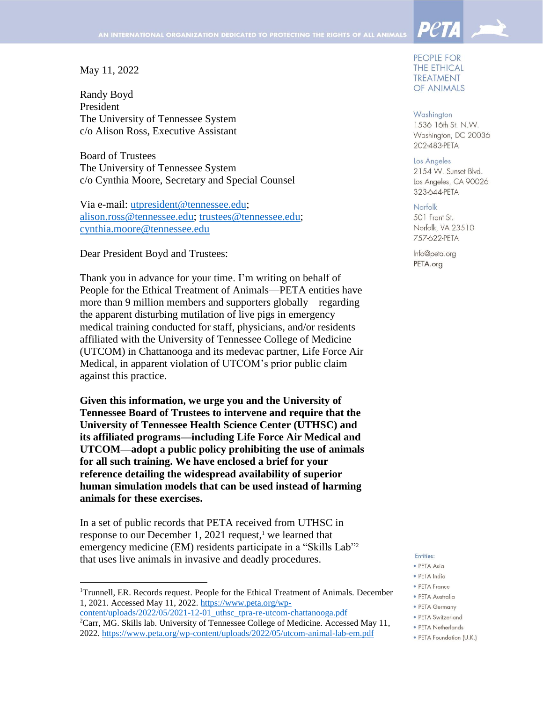### May 11, 2022

l

Randy Boyd President The University of Tennessee System c/o Alison Ross, Executive Assistant

Board of Trustees The University of Tennessee System c/o Cynthia Moore, Secretary and Special Counsel

Via e-mail: [utpresident@tennessee.edu;](mailto:utpresident@tennessee.edu) [alison.ross@tennessee.edu;](mailto:alison.ross@tennessee.edu) [trustees@tennessee.edu;](mailto:trustees@tennessee.edu) [cynthia.moore@tennessee.edu](mailto:cynthia.moore@tennessee.edu)

Dear President Boyd and Trustees:

Thank you in advance for your time. I'm writing on behalf of People for the Ethical Treatment of Animals—PETA entities have more than 9 million members and supporters globally—regarding the apparent disturbing mutilation of live pigs in emergency medical training conducted for staff, physicians, and/or residents affiliated with the University of Tennessee College of Medicine (UTCOM) in Chattanooga and its medevac partner, Life Force Air Medical, in apparent violation of UTCOM's prior public claim against this practice.

**Given this information, we urge you and the University of Tennessee Board of Trustees to intervene and require that the University of Tennessee Health Science Center (UTHSC) and its affiliated programs—including Life Force Air Medical and UTCOM—adopt a public policy prohibiting the use of animals for all such training. We have enclosed a brief for your reference detailing the widespread availability of superior human simulation models that can be used instead of harming animals for these exercises.**

In a set of public records that PETA received from UTHSC in response to our December 1, 2021 request, <sup>1</sup> we learned that emergency medicine (EM) residents participate in a "Skills Lab"<sup>2</sup> that uses live animals in invasive and deadly procedures.

PEOPLE FOR **THE ETHICAL TREATMENT** OF ANIMALS

**PetA** 

Washington 1536 16th St. N.W. Washington, DC 20036 202-483-PETA

Los Angeles 2154 W. Sunset Blvd. Los Angeles, CA 90026 323-644-PETA

Norfolk 501 Front St. Norfolk, VA 23510 757-622-PETA

Info@peta.org PETA.org

#### Entities:

- · PETA Asia
- · PETA India
- PETA France
- · PETA Australia
- PETA Germany
- · PETA Switzerland
- PETA Netherlands
- · PETA Foundation (U.K.)

<sup>&</sup>lt;sup>1</sup>Trunnell, ER. Records request. People for the Ethical Treatment of Animals. December 1, 2021. Accessed May 11, 2022. [https://www.peta.org/wp-](https://www.peta.org/wp-content/uploads/2022/05/2021-12-01_uthsc_tpra-re-utcom-chattanooga.pdf)

[content/uploads/2022/05/2021-12-01\\_uthsc\\_tpra-re-utcom-chattanooga.pdf](https://www.peta.org/wp-content/uploads/2022/05/2021-12-01_uthsc_tpra-re-utcom-chattanooga.pdf) <sup>2</sup>Carr, MG. Skills lab. University of Tennessee College of Medicine. Accessed May 11, 2022.<https://www.peta.org/wp-content/uploads/2022/05/utcom-animal-lab-em.pdf>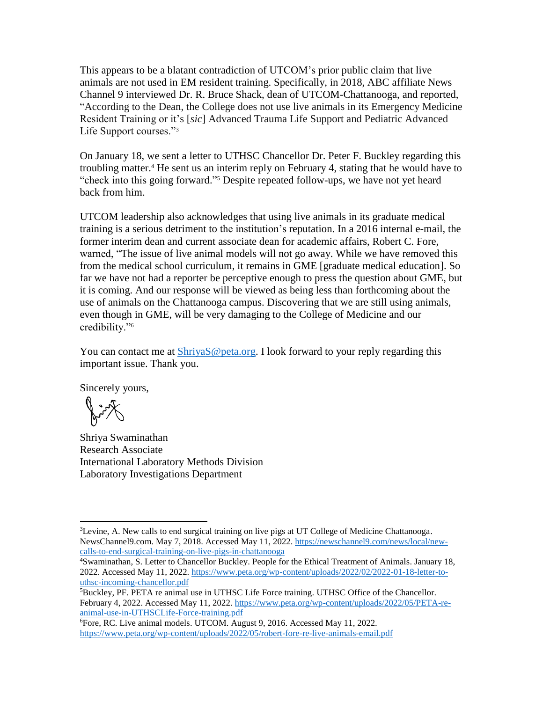This appears to be a blatant contradiction of UTCOM's prior public claim that live animals are not used in EM resident training. Specifically, in 2018, ABC affiliate News Channel 9 interviewed Dr. R. Bruce Shack, dean of UTCOM-Chattanooga, and reported, "According to the Dean, the College does not use live animals in its Emergency Medicine Resident Training or it's [*sic*] Advanced Trauma Life Support and Pediatric Advanced Life Support courses."<sup>3</sup>

On January 18, we sent a letter to UTHSC Chancellor Dr. Peter F. Buckley regarding this troubling matter. <sup>4</sup> He sent us an interim reply on February 4, stating that he would have to "check into this going forward." <sup>5</sup> Despite repeated follow-ups, we have not yet heard back from him.

UTCOM leadership also acknowledges that using live animals in its graduate medical training is a serious detriment to the institution's reputation. In a 2016 internal e-mail, the former interim dean and current associate dean for academic affairs, Robert C. Fore, warned, "The issue of live animal models will not go away. While we have removed this from the medical school curriculum, it remains in GME [graduate medical education]. So far we have not had a reporter be perceptive enough to press the question about GME, but it is coming. And our response will be viewed as being less than forthcoming about the use of animals on the Chattanooga campus. Discovering that we are still using animals, even though in GME, will be very damaging to the College of Medicine and our credibility."<sup>6</sup>

You can contact me at [ShriyaS@peta.org.](mailto:ShriyaS@peta.org) I look forward to your reply regarding this important issue. Thank you.

Sincerely yours,

Kin

l

Shriya Swaminathan Research Associate International Laboratory Methods Division Laboratory Investigations Department

<sup>&</sup>lt;sup>3</sup>Levine, A. New calls to end surgical training on live pigs at UT College of Medicine Chattanooga. NewsChannel9.com. May 7, 2018. Accessed May 11, 2022. [https://newschannel9.com/news/local/new](https://newschannel9.com/news/local/new-calls-to-end-surgical-training-on-live-pigs-in-chattanooga)[calls-to-end-surgical-training-on-live-pigs-in-chattanooga](https://newschannel9.com/news/local/new-calls-to-end-surgical-training-on-live-pigs-in-chattanooga)

<sup>4</sup>Swaminathan, S. Letter to Chancellor Buckley. People for the Ethical Treatment of Animals. January 18, 2022. Accessed May 11, 2022. [https://www.peta.org/wp-content/uploads/2022/02/2022-01-18-letter-to](https://www.peta.org/wp-content/uploads/2022/02/2022-01-18-letter-to-uthsc-incoming-chancellor.pdf)[uthsc-incoming-chancellor.pdf](https://www.peta.org/wp-content/uploads/2022/02/2022-01-18-letter-to-uthsc-incoming-chancellor.pdf)

<sup>5</sup>Buckley, PF. PETA re animal use in UTHSC Life Force training. UTHSC Office of the Chancellor. February 4, 2022. Accessed May 11, 2022. [https://www.peta.org/wp-content/uploads/2022/05/PETA-re](https://www.peta.org/wp-content/uploads/2022/05/PETA-re-animal-use-in-UTHSCLife-Force-training.pdf)[animal-use-in-UTHSCLife-Force-training.pdf](https://www.peta.org/wp-content/uploads/2022/05/PETA-re-animal-use-in-UTHSCLife-Force-training.pdf)

<sup>6</sup>Fore, RC. Live animal models. UTCOM. August 9, 2016. Accessed May 11, 2022. <https://www.peta.org/wp-content/uploads/2022/05/robert-fore-re-live-animals-email.pdf>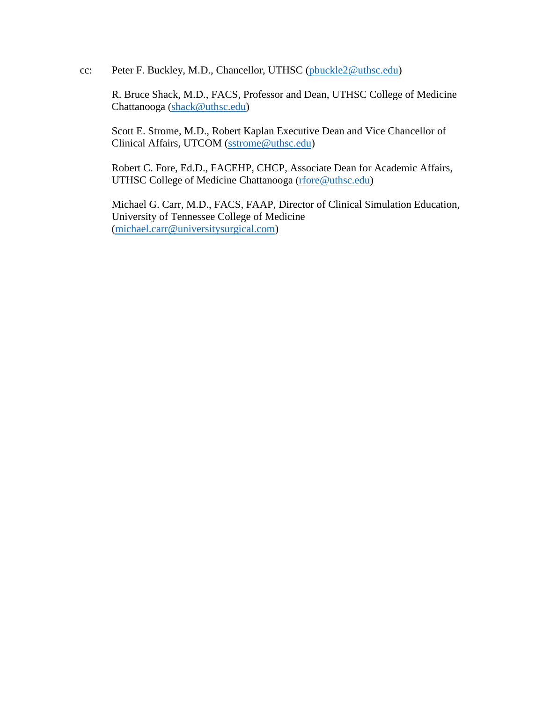cc: Peter F. Buckley, M.D., Chancellor, UTHSC [\(pbuckle2@uthsc.edu\)](mailto:pbuckle2@uthsc.edu)

R. Bruce Shack, M.D., FACS, Professor and Dean, UTHSC College of Medicine Chattanooga ([shack@uthsc.edu\)](mailto:shack@uthsc.edu)

Scott E. Strome, M.D., Robert Kaplan Executive Dean and Vice Chancellor of Clinical Affairs, UTCOM [\(sstrome@uthsc.edu\)](mailto:sstrome@uthsc.edu)

Robert C. Fore, Ed.D., FACEHP, CHCP, Associate Dean for Academic Affairs, UTHSC College of Medicine Chattanooga ([rfore@uthsc.edu\)](mailto:rfore@uthsc.edu)

Michael G. Carr, M.D., FACS, FAAP, Director of Clinical Simulation Education, University of Tennessee College of Medicine [\(michael.carr@universitysurgical.com\)](mailto:michael.carr@universitysurgical.com)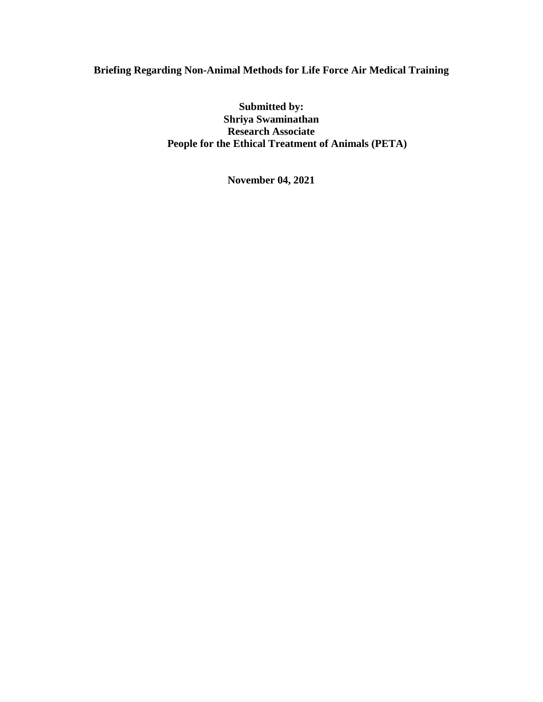# **Briefing Regarding Non-Animal Methods for Life Force Air Medical Training**

**Submitted by: Shriya Swaminathan Research Associate People for the Ethical Treatment of Animals (PETA)**

**November 04, 2021**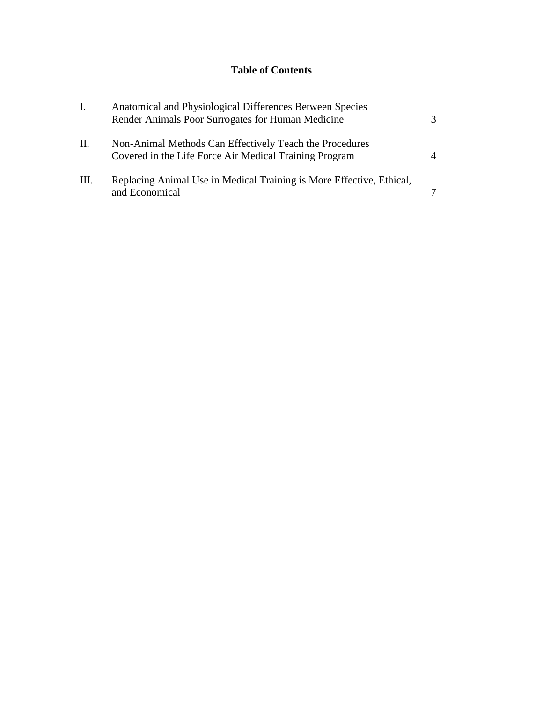# **Table of Contents**

| Ι.   | Anatomical and Physiological Differences Between Species<br>Render Animals Poor Surrogates for Human Medicine     | 3        |
|------|-------------------------------------------------------------------------------------------------------------------|----------|
| П.   | Non-Animal Methods Can Effectively Teach the Procedures<br>Covered in the Life Force Air Medical Training Program | $\Delta$ |
| III. | Replacing Animal Use in Medical Training is More Effective, Ethical,<br>and Economical                            |          |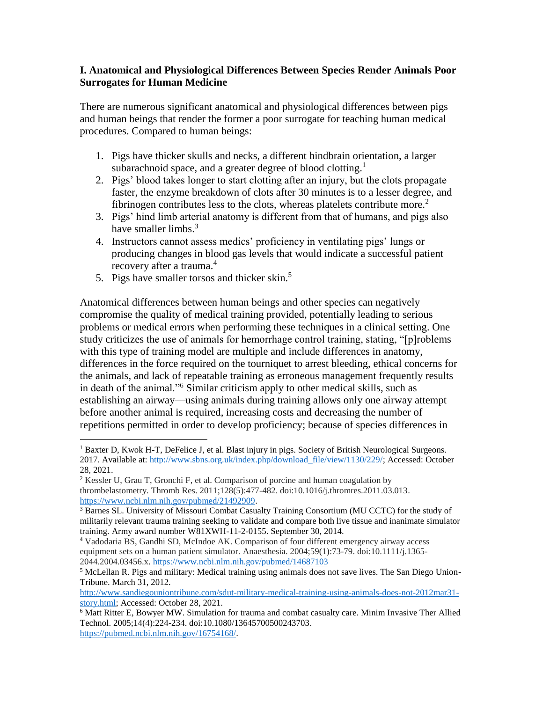### **I. Anatomical and Physiological Differences Between Species Render Animals Poor Surrogates for Human Medicine**

There are numerous significant anatomical and physiological differences between pigs and human beings that render the former a poor surrogate for teaching human medical procedures. Compared to human beings:

- 1. Pigs have thicker skulls and necks, a different hindbrain orientation, a larger subarachnoid space, and a greater degree of blood clotting.<sup>1</sup>
- 2. Pigs' blood takes longer to start clotting after an injury, but the clots propagate faster, the enzyme breakdown of clots after 30 minutes is to a lesser degree, and fibrinogen contributes less to the clots, whereas platelets contribute more.<sup>2</sup>
- 3. Pigs' hind limb arterial anatomy is different from that of humans, and pigs also have smaller limbs.<sup>3</sup>
- 4. Instructors cannot assess medics' proficiency in ventilating pigs' lungs or producing changes in blood gas levels that would indicate a successful patient recovery after a trauma.<sup>4</sup>
- 5. Pigs have smaller torsos and thicker skin.<sup>5</sup>

Anatomical differences between human beings and other species can negatively compromise the quality of medical training provided, potentially leading to serious problems or medical errors when performing these techniques in a clinical setting. One study criticizes the use of animals for hemorrhage control training, stating, "[p]roblems with this type of training model are multiple and include differences in anatomy, differences in the force required on the tourniquet to arrest bleeding, ethical concerns for the animals, and lack of repeatable training as erroneous management frequently results in death of the animal."<sup>6</sup> Similar criticism apply to other medical skills, such as establishing an airway—using animals during training allows only one airway attempt before another animal is required, increasing costs and decreasing the number of repetitions permitted in order to develop proficiency; because of species differences in

 $\overline{\phantom{a}}$ <sup>1</sup> Baxter D, Kwok H-T, DeFelice J, et al. Blast injury in pigs. Society of British Neurological Surgeons. 2017. Available at: [http://www.sbns.org.uk/index.php/download\\_file/view/1130/229/;](http://www.sbns.org.uk/index.php/download_file/view/1130/229/) Accessed: October 28, 2021.

<sup>2</sup> Kessler U, Grau T, Gronchi F, et al. Comparison of porcine and human coagulation by thrombelastometry. Thromb Res. 2011;128(5):477-482. doi:10.1016/j.thromres.2011.03.013. [https://www.ncbi.nlm.nih.gov/pubmed/21492909.](https://www.ncbi.nlm.nih.gov/pubmed/21492909)

<sup>&</sup>lt;sup>3</sup> Barnes SL. University of Missouri Combat Casualty Training Consortium (MU CCTC) for the study of militarily relevant trauma training seeking to validate and compare both live tissue and inanimate simulator training. Army award number W81XWH-11-2-0155. September 30, 2014.

<sup>4</sup> Vadodaria BS, Gandhi SD, McIndoe AK. Comparison of four different emergency airway access equipment sets on a human patient simulator. Anaesthesia. 2004;59(1):73-79. doi:10.1111/j.1365- 2044.2004.03456.x[. https://www.ncbi.nlm.nih.gov/pubmed/14687103](https://www.ncbi.nlm.nih.gov/pubmed/14687103)

<sup>5</sup> McLellan R. Pigs and military: Medical training using animals does not save lives. The San Diego Union-Tribune. March 31, 2012.

[http://www.sandiegouniontribune.com/sdut-military-medical-training-using-animals-does-not-2012mar31](http://www.sandiegouniontribune.com/sdut-military-medical-training-using-animals-does-not-2012mar31-story.html) [story.html;](http://www.sandiegouniontribune.com/sdut-military-medical-training-using-animals-does-not-2012mar31-story.html) Accessed: October 28, 2021.

<sup>&</sup>lt;sup>6</sup> Matt Ritter E, Bowyer MW. Simulation for trauma and combat casualty care. Minim Invasive Ther Allied Technol. 2005;14(4):224-234. doi:10.1080/13645700500243703. [https://pubmed.ncbi.nlm.nih.gov/16754168/.](https://pubmed.ncbi.nlm.nih.gov/16754168/)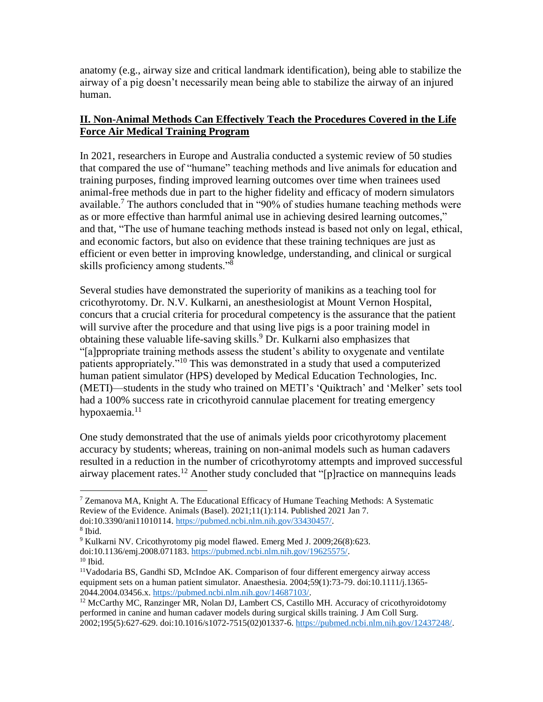anatomy (e.g., airway size and critical landmark identification), being able to stabilize the airway of a pig doesn't necessarily mean being able to stabilize the airway of an injured human.

## **II. Non-Animal Methods Can Effectively Teach the Procedures Covered in the Life Force Air Medical Training Program**

In 2021, researchers in Europe and Australia conducted a systemic review of 50 studies that compared the use of "humane" teaching methods and live animals for education and training purposes, finding improved learning outcomes over time when trainees used animal-free methods due in part to the higher fidelity and efficacy of modern simulators available.<sup>7</sup> The authors concluded that in "90% of studies humane teaching methods were as or more effective than harmful animal use in achieving desired learning outcomes," and that, "The use of humane teaching methods instead is based not only on legal, ethical, and economic factors, but also on evidence that these training techniques are just as efficient or even better in improving knowledge, understanding, and clinical or surgical skills proficiency among students."<sup>8</sup>

Several studies have demonstrated the superiority of manikins as a teaching tool for cricothyrotomy. Dr. N.V. Kulkarni, an anesthesiologist at Mount Vernon Hospital, concurs that a crucial criteria for procedural competency is the assurance that the patient will survive after the procedure and that using live pigs is a poor training model in obtaining these valuable life-saving skills.<sup>9</sup> Dr. Kulkarni also emphasizes that "[a]ppropriate training methods assess the student's ability to oxygenate and ventilate patients appropriately."<sup>10</sup> This was demonstrated in a study that used a computerized human patient simulator (HPS) developed by Medical Education Technologies, Inc. (METI)—students in the study who trained on METI's 'Quiktrach' and 'Melker' sets tool had a 100% success rate in cricothyroid cannulae placement for treating emergency hypoxaemia.<sup>11</sup>

One study demonstrated that the use of animals yields poor cricothyrotomy placement accuracy by students; whereas, training on non-animal models such as human cadavers resulted in a reduction in the number of cricothyrotomy attempts and improved successful airway placement rates.<sup>12</sup> Another study concluded that "[p] ractice on mannequins leads

 $\overline{a}$ 

 $7$  Zemanova MA, Knight A. The Educational Efficacy of Humane Teaching Methods: A Systematic Review of the Evidence. Animals (Basel). 2021;11(1):114. Published 2021 Jan 7. doi:10.3390/ani11010114. [https://pubmed.ncbi.nlm.nih.gov/33430457/.](https://pubmed.ncbi.nlm.nih.gov/33430457/)

<sup>8</sup> Ibid.

<sup>&</sup>lt;sup>9</sup> Kulkarni NV. Cricothyrotomy pig model flawed. Emerg Med J. 2009;26(8):623.

doi:10.1136/emj.2008.071183. [https://pubmed.ncbi.nlm.nih.gov/19625575/.](https://pubmed.ncbi.nlm.nih.gov/19625575/)

 $10$  Ibid.

<sup>11</sup>Vadodaria BS, Gandhi SD, McIndoe AK. Comparison of four different emergency airway access equipment sets on a human patient simulator. Anaesthesia. 2004;59(1):73-79. doi:10.1111/j.1365- 2044.2004.03456.x[. https://pubmed.ncbi.nlm.nih.gov/14687103/.](https://pubmed.ncbi.nlm.nih.gov/14687103/)

<sup>&</sup>lt;sup>12</sup> McCarthy MC, Ranzinger MR, Nolan DJ, Lambert CS, Castillo MH. Accuracy of cricothyroidotomy performed in canine and human cadaver models during surgical skills training. J Am Coll Surg. 2002;195(5):627-629. doi:10.1016/s1072-7515(02)01337-6[. https://pubmed.ncbi.nlm.nih.gov/12437248/.](https://pubmed.ncbi.nlm.nih.gov/12437248/)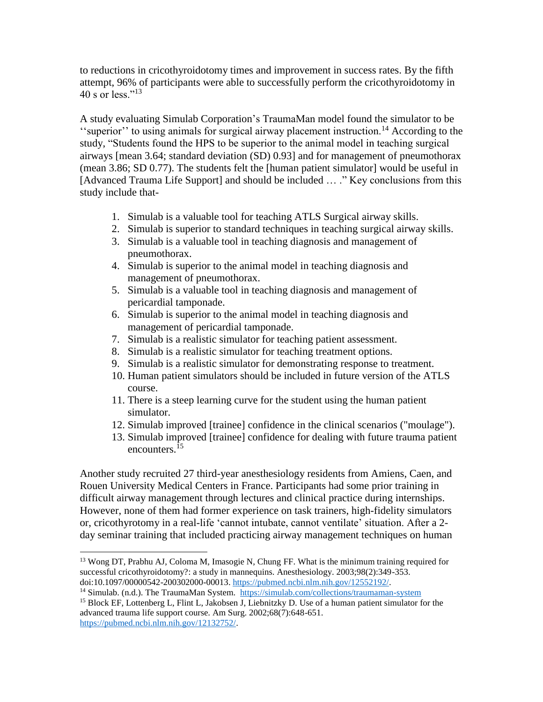to reductions in cricothyroidotomy times and improvement in success rates. By the fifth attempt, 96% of participants were able to successfully perform the cricothyroidotomy in 40 s or less." $^{13}$ 

A study evaluating Simulab Corporation's TraumaMan model found the simulator to be ''superior'' to using animals for surgical airway placement instruction.<sup>14</sup> According to the study, "Students found the HPS to be superior to the animal model in teaching surgical airways [mean 3.64; standard deviation (SD) 0.93] and for management of pneumothorax (mean 3.86; SD 0.77). The students felt the [human patient simulator] would be useful in [Advanced Trauma Life Support] and should be included … ." Key conclusions from this study include that-

- 1. Simulab is a valuable tool for teaching ATLS Surgical airway skills.
- 2. Simulab is superior to standard techniques in teaching surgical airway skills.
- 3. Simulab is a valuable tool in teaching diagnosis and management of pneumothorax.
- 4. Simulab is superior to the animal model in teaching diagnosis and management of pneumothorax.
- 5. Simulab is a valuable tool in teaching diagnosis and management of pericardial tamponade.
- 6. Simulab is superior to the animal model in teaching diagnosis and management of pericardial tamponade.
- 7. Simulab is a realistic simulator for teaching patient assessment.
- 8. Simulab is a realistic simulator for teaching treatment options.
- 9. Simulab is a realistic simulator for demonstrating response to treatment.
- 10. Human patient simulators should be included in future version of the ATLS course.
- 11. There is a steep learning curve for the student using the human patient simulator.
- 12. Simulab improved [trainee] confidence in the clinical scenarios ("moulage").
- 13. Simulab improved [trainee] confidence for dealing with future trauma patient encounters.<sup>15</sup>

Another study recruited 27 third-year anesthesiology residents from Amiens, Caen, and Rouen University Medical Centers in France. Participants had some prior training in difficult airway management through lectures and clinical practice during internships. However, none of them had former experience on task trainers, high-fidelity simulators or, cricothyrotomy in a real-life 'cannot intubate, cannot ventilate' situation. After a 2 day seminar training that included practicing airway management techniques on human

 $\overline{a}$ 

<sup>&</sup>lt;sup>13</sup> Wong DT, Prabhu AJ, Coloma M, Imasogie N, Chung FF. What is the minimum training required for successful cricothyroidotomy?: a study in mannequins. Anesthesiology. 2003;98(2):349-353. doi:10.1097/00000542-200302000-00013[. https://pubmed.ncbi.nlm.nih.gov/12552192/.](https://pubmed.ncbi.nlm.nih.gov/12552192/)

<sup>14</sup> Simulab. (n.d.). The TraumaMan System. <https://simulab.com/collections/traumaman-system>

<sup>&</sup>lt;sup>15</sup> Block EF, Lottenberg L, Flint L, Jakobsen J, Liebnitzky D. Use of a human patient simulator for the advanced trauma life support course. Am Surg. 2002;68(7):648-651. [https://pubmed.ncbi.nlm.nih.gov/12132752/.](https://pubmed.ncbi.nlm.nih.gov/12132752/)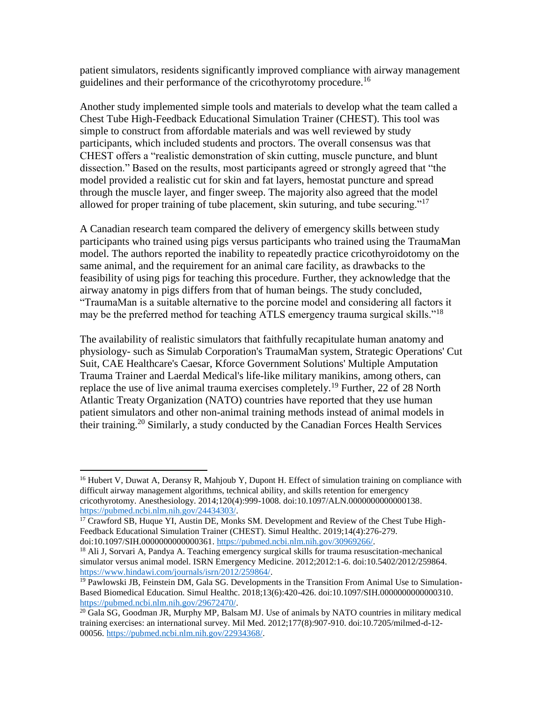patient simulators, residents significantly improved compliance with airway management guidelines and their performance of the cricothyrotomy procedure.<sup>16</sup>

Another study implemented simple tools and materials to develop what the team called a Chest Tube High-Feedback Educational Simulation Trainer (CHEST). This tool was simple to construct from affordable materials and was well reviewed by study participants, which included students and proctors. The overall consensus was that CHEST offers a "realistic demonstration of skin cutting, muscle puncture, and blunt dissection." Based on the results, most participants agreed or strongly agreed that "the model provided a realistic cut for skin and fat layers, hemostat puncture and spread through the muscle layer, and finger sweep. The majority also agreed that the model allowed for proper training of tube placement, skin suturing, and tube securing."<sup>17</sup>

A Canadian research team compared the delivery of emergency skills between study participants who trained using pigs versus participants who trained using the TraumaMan model. The authors reported the inability to repeatedly practice cricothyroidotomy on the same animal, and the requirement for an animal care facility, as drawbacks to the feasibility of using pigs for teaching this procedure. Further, they acknowledge that the airway anatomy in pigs differs from that of human beings. The study concluded, "TraumaMan is a suitable alternative to the porcine model and considering all factors it may be the preferred method for teaching ATLS emergency trauma surgical skills."<sup>18</sup>

The availability of realistic simulators that faithfully recapitulate human anatomy and physiology- such as Simulab Corporation's TraumaMan system, Strategic Operations' Cut Suit, CAE Healthcare's Caesar, Kforce Government Solutions' Multiple Amputation Trauma Trainer and Laerdal Medical's life-like military manikins, among others, can replace the use of live animal trauma exercises completely.<sup>19</sup> Further, 22 of 28 North Atlantic Treaty Organization (NATO) countries have reported that they use human patient simulators and other non-animal training methods instead of animal models in their training.<sup>20</sup> Similarly, a study conducted by the Canadian Forces Health Services

 $\overline{\phantom{a}}$ 

<sup>&</sup>lt;sup>16</sup> Hubert V, Duwat A, Deransy R, Mahjoub Y, Dupont H. Effect of simulation training on compliance with difficult airway management algorithms, technical ability, and skills retention for emergency cricothyrotomy. Anesthesiology. 2014;120(4):999-1008. doi:10.1097/ALN.0000000000000138. [https://pubmed.ncbi.nlm.nih.gov/24434303/.](https://pubmed.ncbi.nlm.nih.gov/24434303/)

<sup>&</sup>lt;sup>17</sup> Crawford SB, Huque YI, Austin DE, Monks SM. Development and Review of the Chest Tube High-Feedback Educational Simulation Trainer (CHEST). Simul Healthc. 2019;14(4):276-279. doi:10.1097/SIH.0000000000000361[. https://pubmed.ncbi.nlm.nih.gov/30969266/.](https://pubmed.ncbi.nlm.nih.gov/30969266/)

<sup>&</sup>lt;sup>18</sup> Ali J, Sorvari A, Pandya A. Teaching emergency surgical skills for trauma resuscitation-mechanical simulator versus animal model. ISRN Emergency Medicine. 2012;2012:1-6. doi:10.5402/2012/259864. [https://www.hindawi.com/journals/isrn/2012/259864/.](https://www.hindawi.com/journals/isrn/2012/259864/)

 $<sup>19</sup>$  Pawlowski JB, Feinstein DM, Gala SG. Developments in the Transition From Animal Use to Simulation-</sup> Based Biomedical Education. Simul Healthc. 2018;13(6):420-426. doi:10.1097/SIH.0000000000000310. [https://pubmed.ncbi.nlm.nih.gov/29672470/.](https://pubmed.ncbi.nlm.nih.gov/29672470/)

<sup>&</sup>lt;sup>20</sup> Gala SG, Goodman JR, Murphy MP, Balsam MJ. Use of animals by NATO countries in military medical training exercises: an international survey. Mil Med. 2012;177(8):907-910. doi:10.7205/milmed-d-12- 00056. [https://pubmed.ncbi.nlm.nih.gov/22934368/.](https://pubmed.ncbi.nlm.nih.gov/22934368/)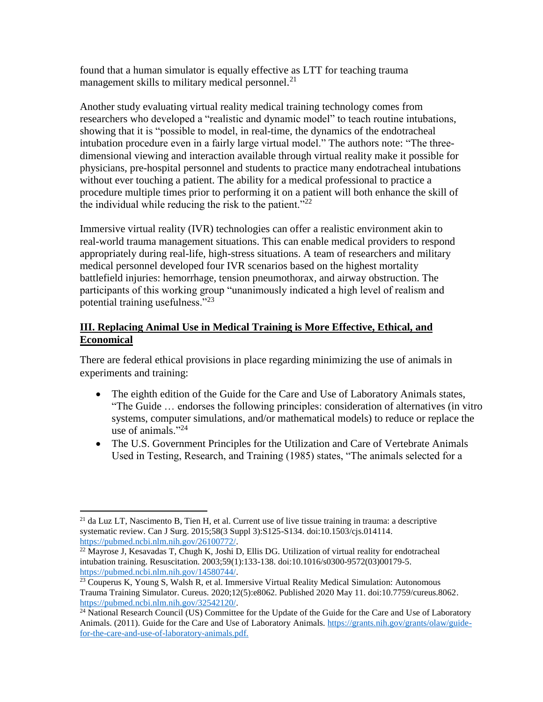found that a human simulator is equally effective as LTT for teaching trauma management skills to military medical personnel.<sup>21</sup>

Another study evaluating virtual reality medical training technology comes from researchers who developed a "realistic and dynamic model" to teach routine intubations, showing that it is "possible to model, in real-time, the dynamics of the endotracheal intubation procedure even in a fairly large virtual model." The authors note: "The threedimensional viewing and interaction available through virtual reality make it possible for physicians, pre-hospital personnel and students to practice many endotracheal intubations without ever touching a patient. The ability for a medical professional to practice a procedure multiple times prior to performing it on a patient will both enhance the skill of the individual while reducing the risk to the patient." $^{22}$ 

Immersive virtual reality (IVR) technologies can offer a realistic environment akin to real-world trauma management situations. This can enable medical providers to respond appropriately during real-life, high-stress situations. A team of researchers and military medical personnel developed four IVR scenarios based on the highest mortality battlefield injuries: hemorrhage, tension pneumothorax, and airway obstruction. The participants of this working group "unanimously indicated a high level of realism and potential training usefulness."<sup>23</sup>

## **III. Replacing Animal Use in Medical Training is More Effective, Ethical, and Economical**

There are federal ethical provisions in place regarding minimizing the use of animals in experiments and training:

- The eighth edition of the Guide for the Care and Use of Laboratory Animals states, "The Guide … endorses the following principles: consideration of alternatives (in vitro systems, computer simulations, and/or mathematical models) to reduce or replace the use of animals."<sup>24</sup>
- The U.S. Government Principles for the Utilization and Care of Vertebrate Animals Used in Testing, Research, and Training (1985) states, "The animals selected for a

 $\overline{\phantom{a}}$ <sup>21</sup> da Luz LT, Nascimento B, Tien H, et al. Current use of live tissue training in trauma: a descriptive systematic review. Can J Surg. 2015;58(3 Suppl 3):S125-S134. doi:10.1503/cjs.014114. [https://pubmed.ncbi.nlm.nih.gov/26100772/.](https://pubmed.ncbi.nlm.nih.gov/26100772/)

 $^{22}$  Mayrose J, Kesavadas T, Chugh K, Joshi D, Ellis DG. Utilization of virtual reality for endotracheal intubation training. Resuscitation. 2003;59(1):133-138. doi:10.1016/s0300-9572(03)00179-5. [https://pubmed.ncbi.nlm.nih.gov/14580744/.](https://pubmed.ncbi.nlm.nih.gov/14580744/)

<sup>&</sup>lt;sup>23</sup> Couperus K, Young S, Walsh R, et al. Immersive Virtual Reality Medical Simulation: Autonomous Trauma Training Simulator. Cureus. 2020;12(5):e8062. Published 2020 May 11. doi:10.7759/cureus.8062. [https://pubmed.ncbi.nlm.nih.gov/32542120/.](https://pubmed.ncbi.nlm.nih.gov/32542120/)

<sup>&</sup>lt;sup>24</sup> National Research Council (US) Committee for the Update of the Guide for the Care and Use of Laboratory Animals. (2011). Guide for the Care and Use of Laboratory Animals. [https://grants.nih.gov/grants/olaw/guide](https://grants.nih.gov/grants/olaw/guide-for-the-care-and-use-of-laboratory-animals.pdf)[for-the-care-and-use-of-laboratory-animals.pdf.](https://grants.nih.gov/grants/olaw/guide-for-the-care-and-use-of-laboratory-animals.pdf)